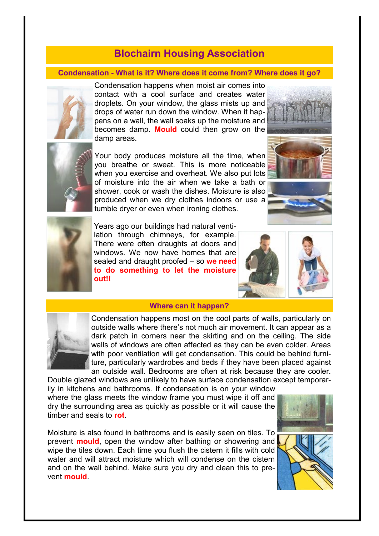# **Blochairn Housing Association**

## **Condensation - What is it? Where does it come from? Where does it go?**



Condensation happens when moist air comes into contact with a cool surface and creates water droplets. On your window, the glass mists up and drops of water run down the window. When it happens on a wall, the wall soaks up the moisture and becomes damp. **Mould** could then grow on the damp areas.



Your body produces moisture all the time, when you breathe or sweat. This is more noticeable when you exercise and overheat. We also put lots of moisture into the air when we take a bath or shower, cook or wash the dishes. Moisture is also produced when we dry clothes indoors or use a tumble dryer or even when ironing clothes.





Years ago our buildings had natural ventilation through chimneys, for example. There were often draughts at doors and windows. We now have homes that are sealed and draught proofed – so **we need to do something to let the moisture out!!** 



#### **Where can it happen?**



Condensation happens most on the cool parts of walls, particularly on outside walls where there's not much air movement. It can appear as a dark patch in corners near the skirting and on the ceiling. The side walls of windows are often affected as they can be even colder. Areas with poor ventilation will get condensation. This could be behind furniture, particularly wardrobes and beds if they have been placed against an outside wall. Bedrooms are often at risk because they are cooler.

Double glazed windows are unlikely to have surface condensation except temporarily in kitchens and bathrooms. If condensation is on your window where the glass meets the window frame you must wipe it off and dry the surrounding area as quickly as possible or it will cause the timber and seals to **rot**.

Moisture is also found in bathrooms and is easily seen on tiles. To prevent **mould**, open the window after bathing or showering and wipe the tiles down. Each time you flush the cistern it fills with cold water and will attract moisture which will condense on the cistern and on the wall behind. Make sure you dry and clean this to prevent **mould**.